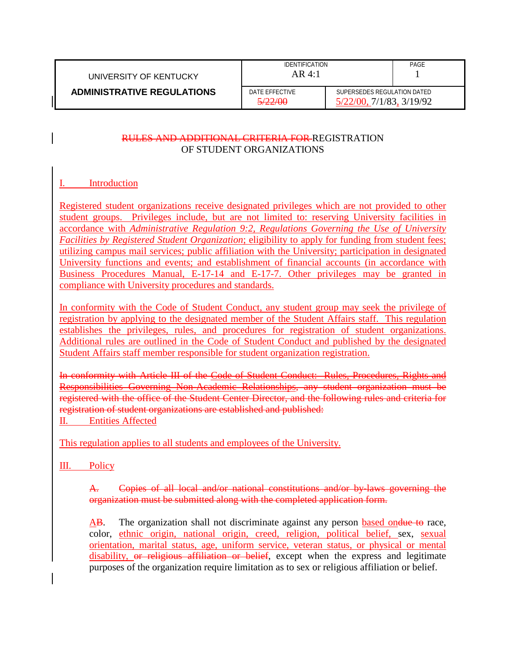| UNIVERSITY OF KENTUCKY            | <b>IDENTIFICATION</b><br>$AR$ 4:1         |                                                         | PAGE |
|-----------------------------------|-------------------------------------------|---------------------------------------------------------|------|
| <b>ADMINISTRATIVE REGULATIONS</b> | DATE EFFECTIVE<br>ട <i>′ററ</i> ⁄∩∩<br>J/T | SUPERSEDES REGULATION DATED<br>5/22/00, 7/1/83, 3/19/92 |      |

## RULES AND ADDITIONAL CRITERIA FOR REGISTRATION OF STUDENT ORGANIZATIONS

## I. Introduction

Registered student organizations receive designated privileges which are not provided to other student groups. Privileges include, but are not limited to: reserving University facilities in accordance with *Administrative Regulation 9:2, Regulations Governing the Use of University Facilities by Registered Student Organization*; eligibility to apply for funding from student fees; utilizing campus mail services; public affiliation with the University; participation in designated University functions and events; and establishment of financial accounts (in accordance with Business Procedures Manual, E-17-14 and E-17-7. Other privileges may be granted in compliance with University procedures and standards.

In conformity with the Code of Student Conduct, any student group may seek the privilege of registration by applying to the designated member of the Student Affairs staff. This regulation establishes the privileges, rules, and procedures for registration of student organizations. Additional rules are outlined in the Code of Student Conduct and published by the designated Student Affairs staff member responsible for student organization registration.

In conformity with Article III of the Code of Student Conduct: Rules, Procedures, Rights and Responsibilities Governing Non-Academic Relationships, any student organization must be registered with the office of the Student Center Director, and the following rules and criteria for registration of student organizations are established and published: II. Entities Affected

This regulation applies to all students and employees of the University.

III. Policy

A. Copies of all local and/or national constitutions and/or by-laws governing the organization must be submitted along with the completed application form.

AB. The organization shall not discriminate against any person based on due to race, color, ethnic origin, national origin, creed, religion, political belief, sex, sexual orientation, marital status, age, uniform service, veteran status, or physical or mental disability, or religious affiliation or belief, except when the express and legitimate purposes of the organization require limitation as to sex or religious affiliation or belief.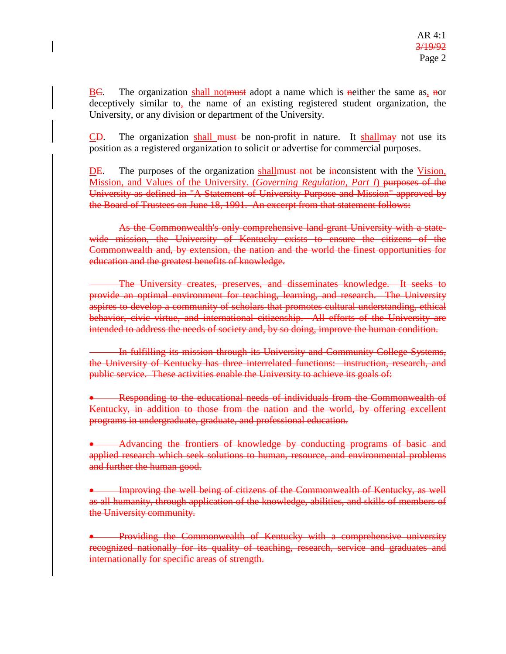$\underline{BC}$ . The organization shall not must adopt a name which is neither the same as, nor deceptively similar to, the name of an existing registered student organization, the University, or any division or department of the University.

 $\overline{CD}$ . The organization shall must be non-profit in nature. It shall may not use its position as a registered organization to solicit or advertise for commercial purposes.

DE. The purposes of the organization shall must not be inconsistent with the Vision, Mission, and Values of the University. (*Governing Regulation, Part I*) purposes of the University as defined in "A Statement of University Purpose and Mission" approved by the Board of Trustees on June 18, 1991. An excerpt from that statement follows:

As the Commonwealth's only comprehensive land-grant University with a statewide mission, the University of Kentucky exists to ensure the citizens of the Commonwealth and, by extension, the nation and the world the finest opportunities for education and the greatest benefits of knowledge.

The University creates, preserves, and disseminates knowledge. It seeks to provide an optimal environment for teaching, learning, and research. The University aspires to develop a community of scholars that promotes cultural understanding, ethical behavior, civic virtue, and international citizenship. All efforts of the University are intended to address the needs of society and, by so doing, improve the human condition.

In fulfilling its mission through its University and Community College Systems, the University of Kentucky has three interrelated functions: instruction, research, and public service. These activities enable the University to achieve its goals of:

• Responding to the educational needs of individuals from the Commonwealth of Kentucky, in addition to those from the nation and the world, by offering excellent programs in undergraduate, graduate, and professional education.

• Advancing the frontiers of knowledge by conducting programs of basic and applied research which seek solutions to human, resource, and environmental problems and further the human good.

• Improving the well being of citizens of the Commonwealth of Kentucky, as well as all humanity, through application of the knowledge, abilities, and skills of members of the University community.

• Providing the Commonwealth of Kentucky with a comprehensive university recognized nationally for its quality of teaching, research, service and graduates and internationally for specific areas of strength.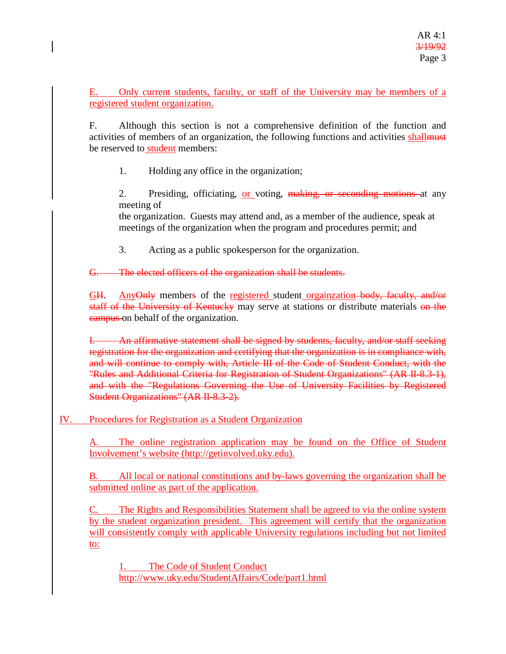E. Only current students, faculty, or staff of the University may be members of a registered student organization.

F. Although this section is not a comprehensive definition of the function and activities of members of an organization, the following functions and activities shall be reserved to student members:

1. Holding any office in the organization;

2. Presiding, officiating, or voting, making, or seconding motions at any meeting of

the organization. Guests may attend and, as a member of the audience, speak at meetings of the organization when the program and procedures permit; and

3. Acting as a public spokesperson for the organization.

G. The elected officers of the organization shall be students.

GH. AnyOnly members of the registered student orgainzation body, faculty, and/or staff of the University of Kentucky may serve at stations or distribute materials on the campus on behalf of the organization.

An affirmative statement shall be signed by students, faculty, and/or staff seeking registration for the organization and certifying that the organization is in compliance with, and will continue to comply with, Article III of the Code of Student Conduct, with the "Rules and Additional Criteria for Registration of Student Organizations" (AR II-8.3-1), and with the "Regulations Governing the Use of University Facilities by Registered Student Organizations" (AR II-8.3-2).

IV. Procedures for Registration as a Student Organization

A. The online registration application may be found on the Office of Student Involvement's website [\(http://getinvolved.uky.edu\)](http://getinvolved.uky.edu/).

B. All local or national constitutions and by-laws governing the organization shall be submitted online as part of the application.

C. The Rights and Responsibilities Statement shall be agreed to via the online system by the student organization president. This agreement will certify that the organization will consistently comply with applicable University regulations including but not limited to:

The Code of Student Conduct <http://www.uky.edu/StudentAffairs/Code/part1.html>